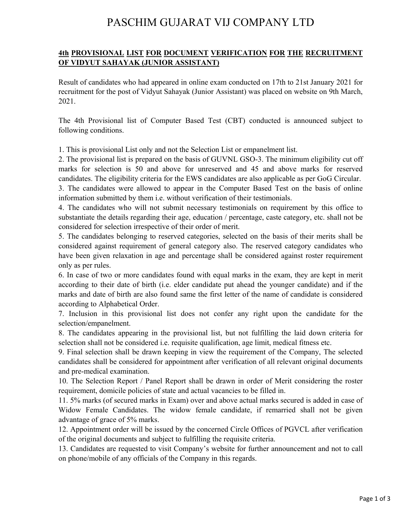## PASCHIM GUJARAT VIJ COMPANY LTD

## **4th PROVISIONAL LIST FOR DOCUMENT VERIFICATION FOR THE RECRUITMENT OF VIDYUT SAHAYAK (JUNIOR ASSISTANT)**

Result of candidates who had appeared in online exam conducted on 17th to 21st January 2021 for recruitment for the post of Vidyut Sahayak (Junior Assistant) was placed on website on 9th March, 2021.

The 4th Provisional list of Computer Based Test (CBT) conducted is announced subject to following conditions.

1. This is provisional List only and not the Selection List or empanelment list.

2. The provisional list is prepared on the basis of GUVNL GSO-3. The minimum eligibility cut off marks for selection is 50 and above for unreserved and 45 and above marks for reserved candidates. The eligibility criteria for the EWS candidates are also applicable as per GoG Circular.

3. The candidates were allowed to appear in the Computer Based Test on the basis of online information submitted by them i.e. without verification of their testimonials.

4. The candidates who will not submit necessary testimonials on requirement by this office to substantiate the details regarding their age, education / percentage, caste category, etc. shall not be considered for selection irrespective of their order of merit.

5. The candidates belonging to reserved categories, selected on the basis of their merits shall be considered against requirement of general category also. The reserved category candidates who have been given relaxation in age and percentage shall be considered against roster requirement only as per rules.

6. In case of two or more candidates found with equal marks in the exam, they are kept in merit according to their date of birth (i.e. elder candidate put ahead the younger candidate) and if the marks and date of birth are also found same the first letter of the name of candidate is considered according to Alphabetical Order.

7. Inclusion in this provisional list does not confer any right upon the candidate for the selection/empanelment.

8. The candidates appearing in the provisional list, but not fulfilling the laid down criteria for selection shall not be considered i.e. requisite qualification, age limit, medical fitness etc.

9. Final selection shall be drawn keeping in view the requirement of the Company, The selected candidates shall be considered for appointment after verification of all relevant original documents and pre-medical examination.

10. The Selection Report / Panel Report shall be drawn in order of Merit considering the roster requirement, domicile policies of state and actual vacancies to be filled in.

11. 5% marks (of secured marks in Exam) over and above actual marks secured is added in case of Widow Female Candidates. The widow female candidate, if remarried shall not be given advantage of grace of 5% marks.

12. Appointment order will be issued by the concerned Circle Offices of PGVCL after verification of the original documents and subject to fulfilling the requisite criteria.

13. Candidates are requested to visit Company's website for further announcement and not to call on phone/mobile of any officials of the Company in this regards.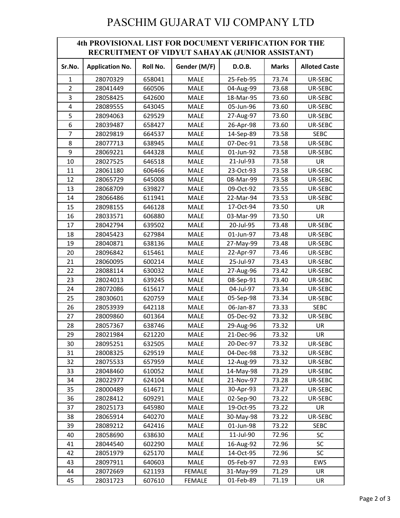## PASCHIM GUJARAT VIJ COMPANY LTD

| <b>4th PROVISIONAL LIST FOR DOCUMENT VERIFICATION FOR THE</b><br>RECRUITMENT OF VIDYUT SAHAYAK (JUNIOR ASSISTANT) |                        |          |               |           |              |                      |  |  |  |
|-------------------------------------------------------------------------------------------------------------------|------------------------|----------|---------------|-----------|--------------|----------------------|--|--|--|
| Sr.No.                                                                                                            | <b>Application No.</b> | Roll No. | Gender (M/F)  | D.O.B.    | <b>Marks</b> | <b>Alloted Caste</b> |  |  |  |
| 1                                                                                                                 | 28070329               | 658041   | <b>MALE</b>   | 25-Feb-95 | 73.74        | UR-SEBC              |  |  |  |
| $\overline{2}$                                                                                                    | 28041449               | 660506   | <b>MALE</b>   | 04-Aug-99 | 73.68        | UR-SEBC              |  |  |  |
| 3                                                                                                                 | 28058425               | 642600   | <b>MALE</b>   | 18-Mar-95 | 73.60        | UR-SEBC              |  |  |  |
| 4                                                                                                                 | 28089555               | 643045   | <b>MALE</b>   | 05-Jun-96 | 73.60        | UR-SEBC              |  |  |  |
| 5                                                                                                                 | 28094063               | 629529   | <b>MALE</b>   | 27-Aug-97 | 73.60        | UR-SEBC              |  |  |  |
| 6                                                                                                                 | 28039487               | 658427   | <b>MALE</b>   | 26-Apr-98 | 73.60        | UR-SEBC              |  |  |  |
| $\overline{7}$                                                                                                    | 28029819               | 664537   | <b>MALE</b>   | 14-Sep-89 | 73.58        | <b>SEBC</b>          |  |  |  |
| 8                                                                                                                 | 28077713               | 638945   | <b>MALE</b>   | 07-Dec-91 | 73.58        | UR-SEBC              |  |  |  |
| 9                                                                                                                 | 28069221               | 644328   | <b>MALE</b>   | 01-Jun-92 | 73.58        | UR-SEBC              |  |  |  |
| 10                                                                                                                | 28027525               | 646518   | <b>MALE</b>   | 21-Jul-93 | 73.58        | UR                   |  |  |  |
| 11                                                                                                                | 28061180               | 606466   | <b>MALE</b>   | 23-Oct-93 | 73.58        | UR-SEBC              |  |  |  |
| 12                                                                                                                | 28065729               | 645008   | <b>MALE</b>   | 08-Mar-99 | 73.58        | UR-SEBC              |  |  |  |
| 13                                                                                                                | 28068709               | 639827   | <b>MALE</b>   | 09-Oct-92 | 73.55        | UR-SEBC              |  |  |  |
| 14                                                                                                                | 28066486               | 611941   | <b>MALE</b>   | 22-Mar-94 | 73.53        | UR-SEBC              |  |  |  |
| 15                                                                                                                | 28098155               | 646128   | <b>MALE</b>   | 17-Oct-94 | 73.50        | UR                   |  |  |  |
| 16                                                                                                                | 28033571               | 606880   | <b>MALE</b>   | 03-Mar-99 | 73.50        | <b>UR</b>            |  |  |  |
| 17                                                                                                                | 28042794               | 639502   | <b>MALE</b>   | 20-Jul-95 | 73.48        | UR-SEBC              |  |  |  |
| 18                                                                                                                | 28045423               | 627984   | <b>MALE</b>   | 01-Jun-97 | 73.48        | UR-SEBC              |  |  |  |
| 19                                                                                                                | 28040871               | 638136   | <b>MALE</b>   | 27-May-99 | 73.48        | UR-SEBC              |  |  |  |
| 20                                                                                                                | 28096842               | 615461   | <b>MALE</b>   | 22-Apr-97 | 73.46        | UR-SEBC              |  |  |  |
| 21                                                                                                                | 28060095               | 600214   | <b>MALE</b>   | 25-Jul-97 | 73.43        | UR-SEBC              |  |  |  |
| 22                                                                                                                | 28088114               | 630032   | <b>MALE</b>   | 27-Aug-96 | 73.42        | UR-SEBC              |  |  |  |
| 23                                                                                                                | 28024013               | 639245   | <b>MALE</b>   | 08-Sep-91 | 73.40        | UR-SEBC              |  |  |  |
| 24                                                                                                                | 28072086               | 615617   | <b>MALE</b>   | 04-Jul-97 | 73.34        | UR-SEBC              |  |  |  |
| 25                                                                                                                | 28030601               | 620759   | <b>MALE</b>   | 05-Sep-98 | 73.34        | UR-SEBC              |  |  |  |
| 26                                                                                                                | 28053939               | 642118   | <b>MALE</b>   | 06-Jan-87 | 73.33        | <b>SEBC</b>          |  |  |  |
| 27                                                                                                                | 28009860               | 601364   | <b>MALE</b>   | 05-Dec-92 | 73.32        | UR-SEBC              |  |  |  |
| 28                                                                                                                | 28057367               | 638746   | <b>MALE</b>   | 29-Aug-96 | 73.32        | UR                   |  |  |  |
| 29                                                                                                                | 28021984               | 621220   | MALE          | 21-Dec-96 | 73.32        | <b>UR</b>            |  |  |  |
| 30                                                                                                                | 28095251               | 632505   | MALE          | 20-Dec-97 | 73.32        | UR-SEBC              |  |  |  |
| 31                                                                                                                | 28008325               | 629519   | MALE          | 04-Dec-98 | 73.32        | UR-SEBC              |  |  |  |
| 32                                                                                                                | 28075533               | 657959   | MALE          | 12-Aug-99 | 73.32        | UR-SEBC              |  |  |  |
| 33                                                                                                                | 28048460               | 610052   | MALE          | 14-May-98 | 73.29        | UR-SEBC              |  |  |  |
| 34                                                                                                                | 28022977               | 624104   | <b>MALE</b>   | 21-Nov-97 | 73.28        | UR-SEBC              |  |  |  |
| 35                                                                                                                | 28000489               | 614671   | MALE          | 30-Apr-93 | 73.27        | UR-SEBC              |  |  |  |
| 36                                                                                                                | 28028412               | 609291   | MALE          | 02-Sep-90 | 73.22        | UR-SEBC              |  |  |  |
| 37                                                                                                                | 28025173               | 645980   | MALE          | 19-Oct-95 | 73.22        | UR                   |  |  |  |
| 38                                                                                                                | 28065914               | 640270   | MALE          | 30-May-98 | 73.22        | UR-SEBC              |  |  |  |
| 39                                                                                                                | 28089212               | 642416   | MALE          | 01-Jun-98 | 73.22        | <b>SEBC</b>          |  |  |  |
| 40                                                                                                                | 28058690               | 638630   | MALE          | 11-Jul-90 | 72.96        | <b>SC</b>            |  |  |  |
| 41                                                                                                                | 28044540               | 602290   | MALE          | 16-Aug-92 | 72.96        | <b>SC</b>            |  |  |  |
| 42                                                                                                                | 28051979               | 625170   | MALE          | 14-Oct-95 | 72.96        | SC                   |  |  |  |
| 43                                                                                                                | 28097911               | 640603   | MALE          | 05-Feb-97 | 72.93        | EWS                  |  |  |  |
| 44                                                                                                                | 28072669               | 621193   | FEMALE        | 31-May-99 | 71.29        | UR                   |  |  |  |
| 45                                                                                                                | 28031723               | 607610   | <b>FEMALE</b> | 01-Feb-89 | 71.19        | UR                   |  |  |  |